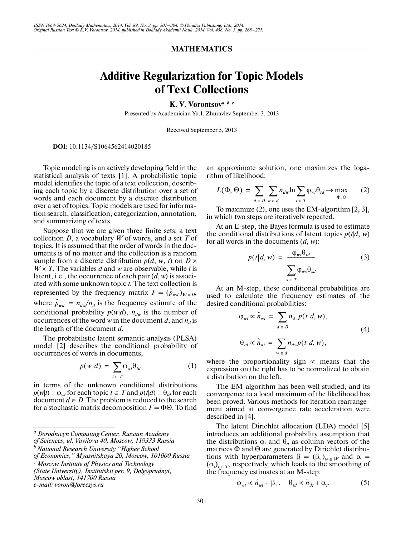## **= MATHEMATICS =**

## **Additive Regularization for Topic Models of Text Collections**

**K. V. Vorontsov***a, b, c*

Presented by Academician Yu.I. Zhuravlev September 3, 2013

Received September 5, 2013

**DOI:** 10.1134/S1064562414020185

Topic modeling is an actively developing field in the statistical analysis of texts [1]. A probabilistic topic model identifies the topic of a text collection, describ ing each topic by a discrete distribution over a set of words and each document by a discrete distribution over a set of topics. Topic models are used for informa tion search, classification, categorization, annotation, and summarizing of texts.

Suppose that we are given three finite sets: a text collection *D*, a vocabulary *W* of words, and a set *T* of topics. It is assumed that the order of words in the doc uments is of no matter and the collection is a random sample from a discrete distribution  $p(d, w, t)$  on  $D \times$  $W \times T$ . The variables *d* and *w* are observable, while *t* is latent, i.e., the occurrence of each pair (*d*, *w*) is associ ated with some unknown topic *t*. The text collection is represented by the frequency matrix  $F = (\hat{p}_{wd})_{W \times D}$ , where  $\hat{p}_{wd} = n_{dw}/n_d$  is the frequency estimate of the conditional probability  $p(w|d)$ ,  $n_{dw}$  is the number of occurrences of the word *w* in the document *d*, and  $n_d$  is the length of the document *d*.

The probabilistic latent semantic analysis (PLSA) model [2] describes the conditional probability of occurrences of words in documents,

$$
p(w|d) = \sum_{t \in T} \varphi_{wt} \theta_{td} \tag{1}
$$

in terms of the unknown conditional distributions  $p(w|t) = \varphi_{wt}$  for each topic  $t \in T$  and  $p(t|d) = \theta_{td}$  for each document  $d \in D$ . The problem is reduced to the search for a stochastic matrix decomposition *F* = ΦΘ. To find

*Moscow oblast, 141700 Russia*

*e-mail: voron@forecsys.ru*

an approximate solution, one maximizes the loga rithm of likelihood:

$$
L(\Phi, \Theta) = \sum_{d \in D} \sum_{w \in d} n_{dw} \ln \sum_{t \in T} \varphi_{wt} \theta_{td} \to \max_{\Phi, \Theta}.
$$
 (2)

To maximize (2), one uses the EM-algorithm [2, 3], in which two steps are iteratively repeated.

At an E-step, the Bayes formula is used to estimate the conditional distributions of latent topics  $p(t|d, w)$ for all words in the documents (*d*, *w*):

$$
p(t|d, w) = \frac{\varphi_{wt}\theta_{td}}{\sum_{s \in T} \varphi_{ws}\theta_{sd}}.
$$
 (3)

At an M-step, these conditional probabilities are used to calculate the frequency estimates of the desired conditional probabilities:

$$
\varphi_{wt} \propto \hat{n}_{wt} = \sum_{d \in D} n_{dw} p(t|d, w),
$$
  
\n
$$
\theta_{td} \propto \hat{n}_{dt} = \sum n_{dw} p(t|d, w),
$$
\n(4)

where the proportionality sign  $\infty$  means that the expression on the right has to be normalized to obtain a distribution on the left.

 $w \in d$ 

The EM-algorithm has been well studied, and its convergence to a local maximum of the likelihood has been proved. Various methods for iteration rearrange ment aimed at convergence rate acceleration were described in [4].

The latent Dirichlet allocation (LDA) model [5] introduces an additional probability assumption that the distributions  $\varphi_t$  and  $\theta_d$  as column vectors of the matrices Φ and Θ are generated by Dirichlet distribu tions with hyperparameters  $\beta = (\beta_w)_{w \in W}$  and  $\alpha =$  $(\alpha_t)_{t \in T}$ , respectively, which leads to the smoothing of the frequency estimates at an M-step:

$$
\varphi_{wt} \propto \hat{n}_{wt} + \beta_w, \quad \theta_{td} \propto \hat{n}_{dt} + \alpha_t. \tag{5}
$$

*a Dorodnicyn Computing Center, Russian Academy* 

*of Sciences, ul. Vavilova 40, Moscow, 119333 Russia*

*b National Research University "Higher School of Economics," Myasnitskaya 20, Moscow, 101000 Russia*

*c Moscow Institute of Physics and Technology* 

*<sup>(</sup>State University), Institutskii per. 9, Dolgoprudnyi,*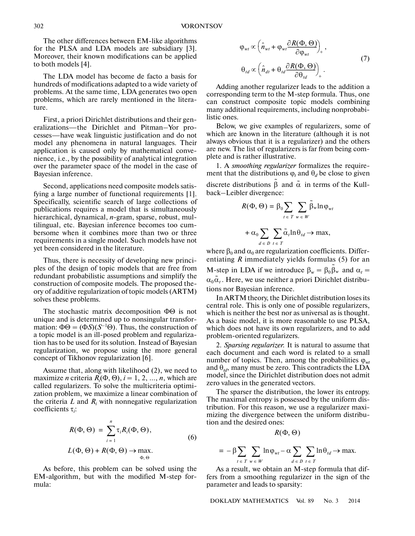The other differences between EM-like algorithms for the PLSA and LDA models are subsidiary [3]. Moreover, their known modifications can be applied to both models [4].

The LDA model has become de facto a basis for hundreds of modifications adapted to a wide variety of problems. At the same time, LDA generates two open problems, which are rarely mentioned in the litera ture.

First, a priori Dirichlet distributions and their gen eralizations—the Dirichlet and Pitman–Yor pro cesses—have weak linguistic justification and do not model any phenomena in natural languages. Their application is caused only by mathematical conve nience, i.e., by the possibility of analytical integration over the parameter space of the model in the case of Bayesian inference.

Second, applications need composite models satis fying a large number of functional requirements [1]. Specifically, scientific search of large collections of publications requires a model that is simultaneously hierarchical, dynamical, *n*-gram, sparse, robust, mul tilingual, etc. Bayesian inference becomes too cumbersome when it combines more than two or three requirements in a single model. Such models have not yet been considered in the literature.

Thus, there is necessity of developing new princi ples of the design of topic models that are free from redundant probabilistic assumptions and simplify the construction of composite models. The proposed the ory of additive regularization of topic models (ARTM) solves these problems.

The stochastic matrix decomposition ΦΘ is not unique and is determined up to nonsingular transfor mation:  $\Phi\Theta = (\Phi S)(S^{-1}\Theta)$ . Thus, the construction of a topic model is an ill-posed problem and regulariza tion has to be used for its solution. Instead of Bayesian regularization, we propose using the more general concept of Tikhonov regularization [6].

Assume that, along with likelihood (2), we need to maximize *n* criteria  $R_i(\Phi, \Theta)$ ,  $i = 1, 2, ..., n$ , which are called regularizers. To solve the multicriteria optimi zation problem, we maximize a linear combination of the criteria  $L$  and  $R_i$  with nonnegative regularization coefficients τ*<sup>i</sup>* :

$$
R(\Phi, \Theta) = \sum_{i=1}^{n} \tau_i R_i(\Phi, \Theta),
$$
  

$$
L(\Phi, \Theta) + R(\Phi, \Theta) \to \max_{\Phi, \Theta}.
$$
 (6)

As before, this problem can be solved using the EM-algorithm, but with the modified M-step for mula:

$$
\varphi_{wt} \propto \left(\hat{n}_{wt} + \varphi_{wt} \frac{\partial R(\Phi, \Theta)}{\partial \varphi_{wt}}\right)_+,
$$
  
\n
$$
\theta_{td} \propto \left(\hat{n}_{dt} + \theta_{td} \frac{\partial R(\Phi, \Theta)}{\partial \theta_{td}}\right)_+.
$$
\n(7)

Adding another regularizer leads to the addition a corresponding term to the M-step formula. Thus, one can construct composite topic models combining many additional requirements, including nonprobabi listic ones.

Below, we give examples of regularizers, some of which are known in the literature (although it is not always obvious that it is a regularizer) and the others are new. The list of regularizers is far from being com plete and is rather illustrative.

1. A *smoothing regularizer* formalizes the require ment that the distributions  $\varphi_t$  and  $\theta_d$  be close to given discrete distributions  $\tilde{\beta}$  and  $\tilde{\alpha}$  in terms of the Kullback–Leibler divergence:

$$
R(\Phi, \Theta) = \beta_0 \sum_{t \in T} \sum_{w \in W} \tilde{\beta}_w \ln \varphi_{wt}
$$

$$
+ \alpha_0 \sum \sum_{t \in T} \tilde{\alpha}_t \ln \theta_{td} \to \max,
$$

 $d \in D$   $t \in T$ 

where  $\beta_0$  and  $\alpha_0$  are regularization coefficients. Differentiating *R* immediately yields formulas (5) for an M-step in LDA if we introduce  $\beta_w = \beta_0 \tilde{\beta}_w$  and  $\alpha_t =$  $\alpha_0 \tilde{\alpha}_t$ . Here, we use neither a priori Dirichlet distributions nor Bayesian inference.

In ARTM theory, the Dirichlet distribution loses its central role. This is only one of possible regularizers, which is neither the best nor as universal as is thought. As a basic model, it is more reasonable to use PLSA, which does not have its own regularizers, and to add problem-oriented regularizers.

2. *Sparsing regularizer.* It is natural to assume that each document and each word is related to a small number of topics. Then, among the probabilities  $\varphi_{wt}$ and  $\theta_{td}$ , many must be zero. This contradicts the LDA model, since the Dirichlet distribution does not admit zero values in the generated vectors.

The sparser the distribution, the lower its entropy. The maximal entropy is possessed by the uniform dis tribution. For this reason, we use a regularizer maxi mizing the divergence between the uniform distribu tion and the desired ones:

$$
R(\Phi,\Theta)
$$

$$
= -\beta \sum_{t \in T} \sum_{w \in W} \ln \varphi_{wt} - \alpha \sum_{d \in D} \sum_{t \in T} \ln \theta_{td} \to \max.
$$

As a result, we obtain an M-step formula that dif fers from a smoothing regularizer in the sign of the parameter and leads to sparsity:

DOKLADY MATHEMATICS Vol. 89 No. 3 2014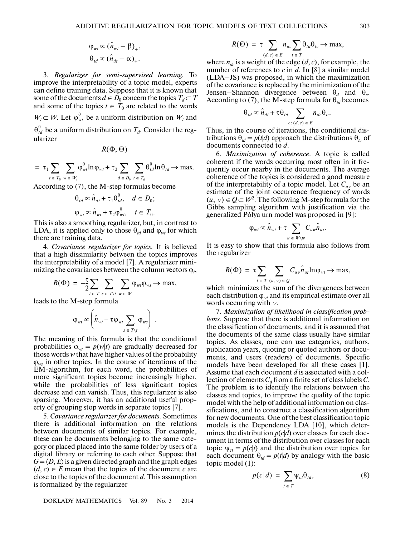$$
\varphi_{wt} \propto (\hat{n}_{wt} - \beta)_+,
$$
  
\n
$$
\theta_{td} \propto (\hat{n}_{dt} - \alpha)_+.
$$

3. *Regularizer for semi-supervised learning.* To improve the interpretability of a topic model, experts can define training data. Suppose that it is known that some of the documents  $d \in D_0$  concern the topics  $T_d \subset T$ and some of the topics  $t \in T_0$  are related to the words  $W_t \subset W$ . Let  $\varphi_{wt}^0$  be a uniform distribution on  $W_t$  and  $\theta_{td}^0$  be a uniform distribution on  $T_{d}$ . Consider the regularizer

$$
R(\Phi,\Theta)
$$

$$
= \tau_1 \sum_{t \in T_0} \sum_{w \in W_t} \varphi_{wt}^0 \ln \varphi_{wt} + \tau_2 \sum_{d \in D_0} \sum_{t \in T_d} \theta_{td}^0 \ln \theta_{td} \to \max.
$$

According to (7), the M-step formulas become

$$
\theta_{td} \propto \hat{n}_{dt} + \tau_1 \theta_{td}^0, \quad d \in D_0;
$$
  

$$
\varphi_{wt} \propto \hat{n}_{wt} + \tau_2 \varphi_{wt}^0, \quad t \in T_0.
$$

This is also a smoothing regularizer, but, in contrast to LDA, it is applied only to those  $\theta_{td}$  and  $\varphi_{wt}$  for which there are training data.

4. *Covariance regularizer for topics.* It is believed that a high dissimilarity between the topics improves the interpretability of a model [7]. A regularizer mini mizing the covariances between the column vectors  $\varphi_t$ ,

$$
R(\Phi) = -\frac{\tau}{2} \sum_{t \in T} \sum_{s \in T \setminus t} \sum_{w \in W} \varphi_{wt} \varphi_{ws} \to \max,
$$

leads to the M-step formula

$$
\varphi_{\mathit{wt}} \propto \left( \hat{n}_{\mathit{wt}} - \tau \varphi_{\mathit{wt}} \sum_{s \; \in \; T \setminus t} \varphi_{\mathit{ws}} \right)_+.
$$

The meaning of this formula is that the conditional probabilities  $\varphi_{wt} = p(w|t)$  are gradually decreased for those words *w* that have higher values of the probability ϕ*ws* in other topics. In the course of iterations of the EM-algorithm, for each word, the probabilities of more significant topics become increasingly higher, while the probabilities of less significant topics decrease and can vanish. Thus, this regularizer is also sparsing. Moreover, it has an additional useful prop erty of grouping stop words in separate topics [7].

5. *Covariance regularizer for documents.* Sometimes there is additional information on the relations between documents of similar topics. For example, these can be documents belonging to the same cate gory or placed placed into the same folder by users of a digital library or referring to each other. Suppose that  $G = \langle D, E \rangle$  is a given directed graph and the graph edges  $(d, c) \in E$  mean that the topics of the document *c* are close to the topics of the document *d*. This assumption is formalized by the regularizer

DOKLADY MATHEMATICS Vol. 89 No. 3 2014

$$
R(\Theta) = \tau \sum_{(d,c) \in E} n_{dc} \sum_{t \in T} \theta_{td} \theta_{tc} \to \max,
$$

where  $n_{dc}$  is a weight of the edge  $(d, c)$ , for example, the number of references to *c* in *d*. In [8] a similar model (LDA–JS) was proposed, in which the maximization of the covariance is replaced by the minimization of the Jensen–Shannon divergence between  $\theta_d$  and  $\theta_c$ . According to (7), the M-step formula for  $\theta_{\text{rd}}$  becomes

$$
\theta_{td} \propto \hat{n}_{dt} + \tau \theta_{td} \sum_{c:(d,c) \in E} n_{dc} \theta_{tc}.
$$

Thus, in the course of iterations, the conditional dis tributions  $\theta_{td} = p(t|d)$  approach the distributions  $\theta_{tc}$  of documents connected to *d*.

6. *Maximization of coherence.* A topic is called coherent if the words occurring most often in it fre quently occur nearby in the documents. The average coherence of the topics is considered a good measure of the interpretability of a topic model. Let *Cu*v be an estimate of the joint occurrence frequency of words  $(u, v) ∈ Q ⊂ W<sup>2</sup>$ . The following M-step formula for the Gibbs sampling algorithm with justification via the generalized Pólya urn model was proposed in [9]:

$$
\varphi_{wt} \propto \hat{n}_{wt} + \tau \sum_{u \in W \setminus w} C_{uw} \hat{n}_{ut}.
$$

It is easy to show that this formula also follows from the regularizer

$$
R(\Phi) = \tau \sum_{t \in T} \sum_{(u, v) \in Q} C_{uv} \hat{n}_{ut} \ln \varphi_{vt} \to \max,
$$

which minimizes the sum of the divergences between each distribution  $\varphi_{vt}$  and its empirical estimate over all words occurring with v.

7. *Maximization of likelihood in classification prob lems.* Suppose that there is additional information on the classification of documents, and it is assumed that the documents of the same class usually have similar topics. As classes, one can use categories, authors, publication years, quoting or quoted authors or docu ments, and users (readers) of documents. Specific models have been developed for all these cases [1]. Assume that each document *d* is associated with a col lection of elements  $C_d$  from a finite set of class labels  $C$ . The problem is to identify the relations between the classes and topics, to improve the quality of the topic model with the help of additional information on clas sifications, and to construct a classification algorithm for new documents. One of the best classification topic models is the Dependency LDA [10], which deter mines the distribution  $p(c|d)$  over classes for each document in terms of the distribution over classes for each topic  $\psi_{ct} = p(c|t)$  and the distribution over topics for each document  $\theta_{td} = p(t|d)$  by analogy with the basic topic model (1):

$$
p(c|d) = \sum_{t \in T} \psi_{ct} \theta_{td}, \qquad (8)
$$